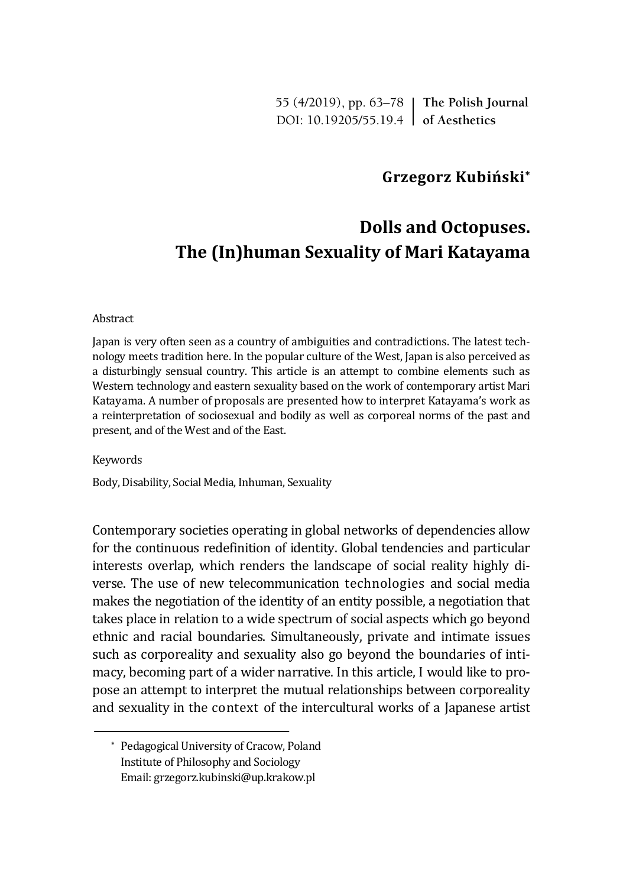55 (4/2019), pp. 63–78 **The Polish Journal** DOI: 10.19205/55.19.4 **of Aesthetics**

# **Grzegorz Kubiński\***

# **Dolls and Octopuses. The (In)human Sexuality of Mari Katayama**

#### Abstract

Japan is very often seen as a country of ambiguities and contradictions. The latest technology meets tradition here. In the popular culture of the West, Japan is also perceived as a disturbingly sensual country. This article is an attempt to combine elements such as Western technology and eastern sexuality based on the work of contemporary artist Mari Katayama. A number of proposals are presented how to interpret Katayama's work as a reinterpretation of sociosexual and bodily as well as corporeal norms of the past and present, and of the West and of the East.

Keywords

Body, Disability, Social Media, Inhuman, Sexuality

Contemporary societies operating in global networks of dependencies allow for the continuous redefinition of identity. Global tendencies and particular interests overlap, which renders the landscape of social reality highly diverse. The use of new telecommunication technologies and social media makes the negotiation of the identity of an entity possible, a negotiation that takes place in relation to a wide spectrum of social aspects which go beyond ethnic and racial boundaries. Simultaneously, private and intimate issues such as corporeality and sexuality also go beyond the boundaries of intimacy, becoming part of a wider narrative. In this article, I would like to propose an attempt to interpret the mutual relationships between corporeality and sexuality in the context of the intercultural works of a Japanese artist

<sup>\*</sup> Pedagogical University of Cracow, Poland Institute of Philosophy and Sociology Email: grzegorz.kubinski@up.krakow.pl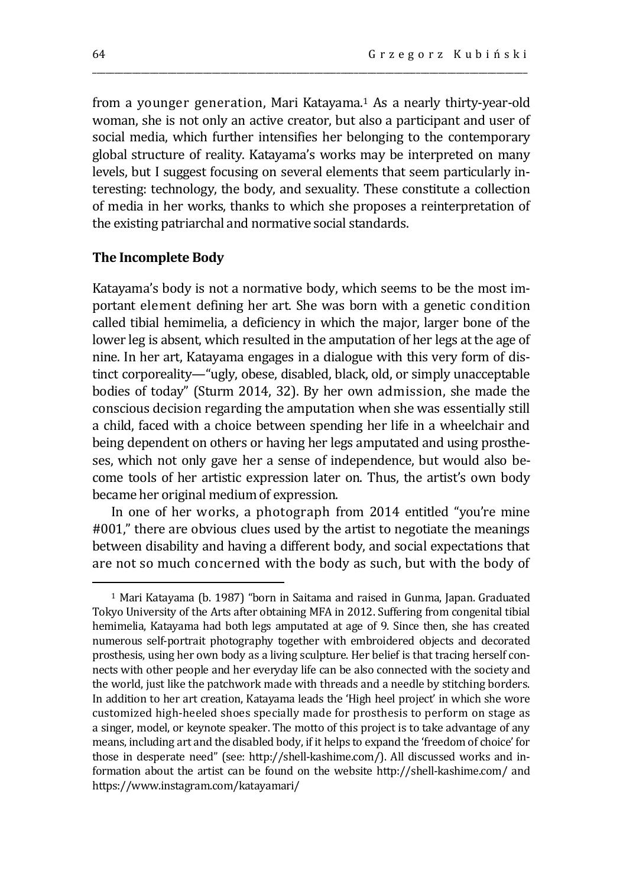from a younger generation, Mari Katayama.<sup>1</sup> As a nearly thirty-year-old woman, she is not only an active creator, but also a participant and user of social media, which further intensifies her belonging to the contemporary global structure of reality. Katayama's works may be interpreted on many levels, but I suggest focusing on several elements that seem particularly interesting: technology, the body, and sexuality. These constitute a collection of media in her works, thanks to which she proposes a reinterpretation of the existing patriarchal and normative social standards.

\_\_\_\_\_\_\_\_\_\_\_\_\_\_\_\_\_\_\_\_\_\_\_\_\_\_\_\_\_\_\_\_\_\_\_\_\_\_\_\_\_\_\_\_\_\_\_\_\_\_\_\_\_\_\_\_\_\_\_\_\_\_\_\_\_\_\_\_\_\_\_\_\_\_\_\_\_\_\_\_\_\_\_\_\_\_\_\_\_\_\_\_\_\_\_\_\_\_

#### **The Incomplete Body**

Katayama's body is not a normative body, which seems to be the most important element defining her art. She was born with a genetic condition called tibial hemimelia, a deficiency in which the major, larger bone of the lower leg is absent, which resulted in the amputation of her legs at the age of nine. In her art, Katayama engages in a dialogue with this very form of distinct corporeality—"ugly, obese, disabled, black, old, or simply unacceptable bodies of today" (Sturm 2014, 32). By her own admission, she made the conscious decision regarding the amputation when she was essentially still a child, faced with a choice between spending her life in a wheelchair and being dependent on others or having her legs amputated and using prostheses, which not only gave her a sense of independence, but would also become tools of her artistic expression later on. Thus, the artist's own body became her original medium of expression.

In one of her works, a photograph from 2014 entitled "you're mine #001," there are obvious clues used by the artist to negotiate the meanings between disability and having a different body, and social expectations that are not so much concerned with the body as such, but with the body of

<sup>1</sup> Mari Katayama (b. 1987) "born in Saitama and raised in Gunma, Japan. Graduated Tokyo University of the Arts after obtaining MFA in 2012. Suffering from congenital tibial hemimelia, Katayama had both legs amputated at age of 9. Since then, she has created numerous self-portrait photography together with embroidered objects and decorated prosthesis, using her own body as a living sculpture. Her belief is that tracing herself connects with other people and her everyday life can be also connected with the society and the world, just like the patchwork made with threads and a needle by stitching borders. In addition to her art creation, Katayama leads the 'High heel project' in which she wore customized high-heeled shoes specially made for prosthesis to perform on stage as a singer, model, or keynote speaker. The motto of this project is to take advantage of any means, including art and the disabled body, if it helps to expand the 'freedom of choice' for those in desperate need" (see: http://shell-kashime.com/). All discussed works and information about the artist can be found on the website http://shell-kashime.com/ and https://www.instagram.com/katayamari/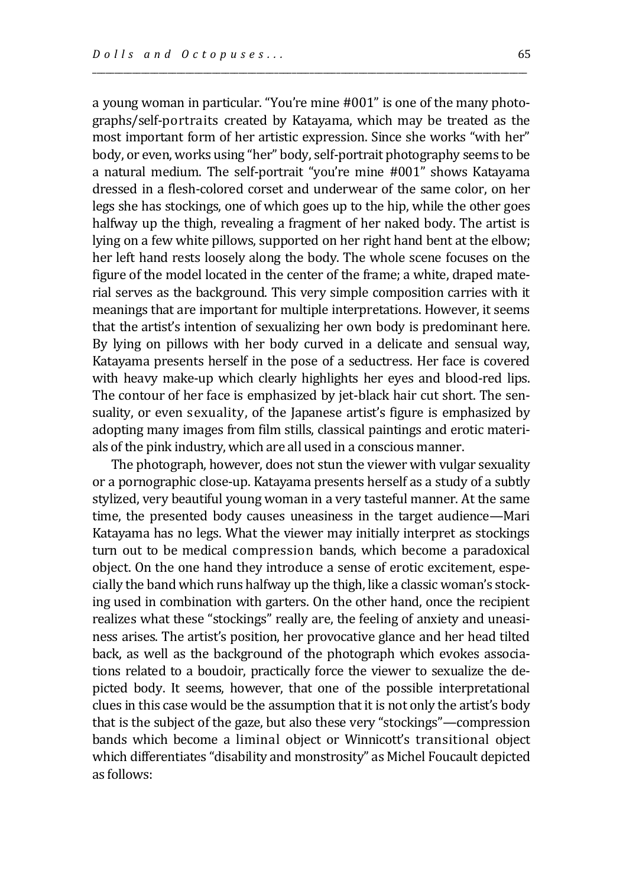a young woman in particular. "You're mine #001" is one of the many photographs/self-portraits created by Katayama, which may be treated as the most important form of her artistic expression. Since she works "with her" body, or even, works using "her" body, self-portrait photography seems to be a natural medium. The self-portrait "you're mine #001" shows Katayama dressed in a flesh-colored corset and underwear of the same color, on her legs she has stockings, one of which goes up to the hip, while the other goes halfway up the thigh, revealing a fragment of her naked body. The artist is lying on a few white pillows, supported on her right hand bent at the elbow; her left hand rests loosely along the body. The whole scene focuses on the figure of the model located in the center of the frame; a white, draped material serves as the background. This very simple composition carries with it meanings that are important for multiple interpretations. However, it seems that the artist's intention of sexualizing her own body is predominant here. By lying on pillows with her body curved in a delicate and sensual way, Katayama presents herself in the pose of a seductress. Her face is covered with heavy make-up which clearly highlights her eyes and blood-red lips. The contour of her face is emphasized by jet-black hair cut short. The sensuality, or even sexuality, of the Japanese artist's figure is emphasized by adopting many images from film stills, classical paintings and erotic materials of the pink industry, which are all used in a conscious manner.

\_\_\_\_\_\_\_\_\_\_\_\_\_\_\_\_\_\_\_\_\_\_\_\_\_\_\_\_\_\_\_\_\_\_\_\_\_\_\_\_\_\_\_\_\_\_\_\_\_\_\_\_\_\_\_\_\_\_\_\_\_\_\_\_\_\_\_\_\_\_\_\_\_\_\_\_\_\_\_\_\_\_\_\_\_\_\_\_\_\_\_\_\_\_\_\_\_\_

The photograph, however, does not stun the viewer with vulgar sexuality or a pornographic close-up. Katayama presents herself as a study of a subtly stylized, very beautiful young woman in a very tasteful manner. At the same time, the presented body causes uneasiness in the target audience—Mari Katayama has no legs. What the viewer may initially interpret as stockings turn out to be medical compression bands, which become a paradoxical object. On the one hand they introduce a sense of erotic excitement, especially the band which runs halfway up the thigh, like a classic woman's stocking used in combination with garters. On the other hand, once the recipient realizes what these "stockings" really are, the feeling of anxiety and uneasiness arises. The artist's position, her provocative glance and her head tilted back, as well as the background of the photograph which evokes associations related to a boudoir, practically force the viewer to sexualize the depicted body. It seems, however, that one of the possible interpretational clues in this case would be the assumption that it is not only the artist's body that is the subject of the gaze, but also these very "stockings"—compression bands which become a liminal object or Winnicott's transitional object which differentiates "disability and monstrosity" as Michel Foucault depicted as follows: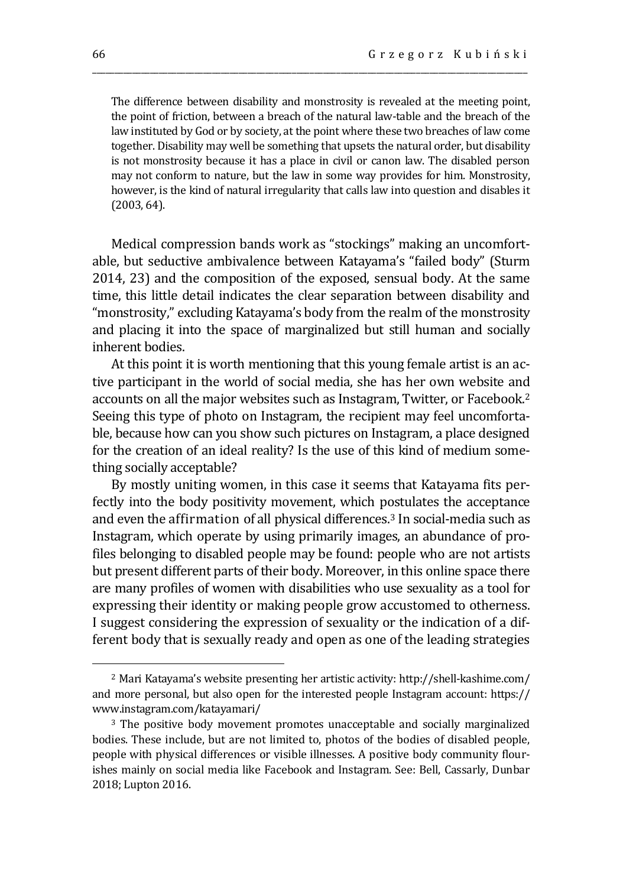The difference between disability and monstrosity is revealed at the meeting point, the point of friction, between a breach of the natural law-table and the breach of the law instituted by God or by society, at the point where these two breaches of law come together. Disability may well be something that upsets the natural order, but disability is not monstrosity because it has a place in civil or canon law. The disabled person may not conform to nature, but the law in some way provides for him. Monstrosity, however, is the kind of natural irregularity that calls law into question and disables it (2003, 64).

\_\_\_\_\_\_\_\_\_\_\_\_\_\_\_\_\_\_\_\_\_\_\_\_\_\_\_\_\_\_\_\_\_\_\_\_\_\_\_\_\_\_\_\_\_\_\_\_\_\_\_\_\_\_\_\_\_\_\_\_\_\_\_\_\_\_\_\_\_\_\_\_\_\_\_\_\_\_\_\_\_\_\_\_\_\_\_\_\_\_\_\_\_\_\_\_\_\_

Medical compression bands work as "stockings" making an uncomfortable, but seductive ambivalence between Katayama's "failed body" (Sturm 2014, 23) and the composition of the exposed, sensual body. At the same time, this little detail indicates the clear separation between disability and "monstrosity," excluding Katayama's body from the realm of the monstrosity and placing it into the space of marginalized but still human and socially inherent bodies.

At this point it is worth mentioning that this young female artist is an active participant in the world of social media, she has her own website and accounts on all the major websites such as Instagram, Twitter, or Facebook.<sup>2</sup> Seeing this type of photo on Instagram, the recipient may feel uncomfortable, because how can you show such pictures on Instagram, a place designed for the creation of an ideal reality? Is the use of this kind of medium something socially acceptable?

By mostly uniting women, in this case it seems that Katayama fits perfectly into the body positivity movement, which postulates the acceptance and even the affirmation of all physical differences.<sup>3</sup> In social-media such as Instagram, which operate by using primarily images, an abundance of profiles belonging to disabled people may be found: people who are not artists but present different parts of their body. Moreover, in this online space there are many profiles of women with disabilities who use sexuality as a tool for expressing their identity or making people grow accustomed to otherness. I suggest considering the expression of sexuality or the indication of a different body that is sexually ready and open as one of the leading strategies

<sup>2</sup> Mari Katayama's website presenting her artistic activity: http://shell-kashime.com/ and more personal, but also open for the interested people Instagram account: https:// www.instagram.com/katayamari/

<sup>&</sup>lt;sup>3</sup> The positive body movement promotes unacceptable and socially marginalized bodies. These include, but are not limited to, photos of the bodies of disabled people, people with physical differences or visible illnesses. A positive body community flourishes mainly on social media like Facebook and Instagram. See: Bell, Cassarly, Dunbar 2018; Lupton 2016.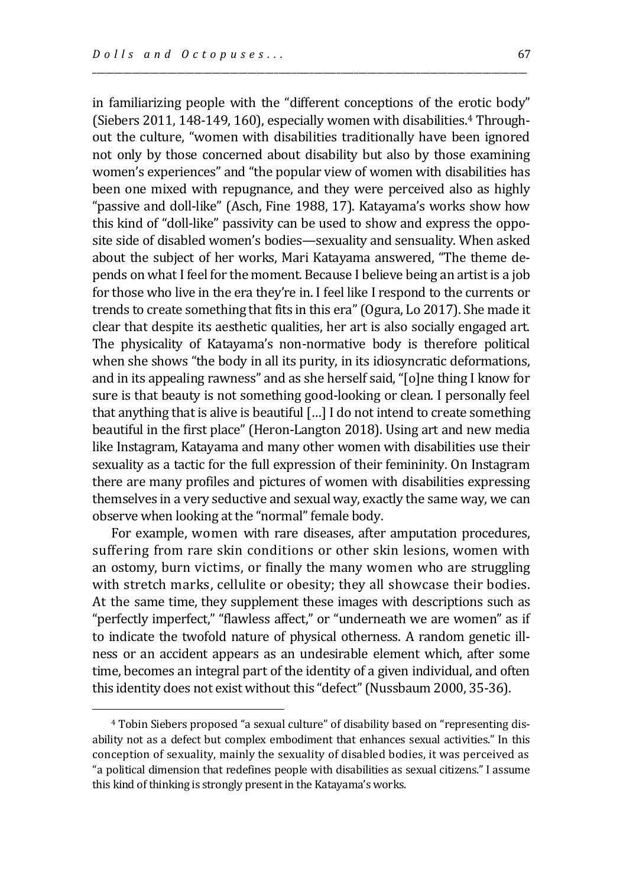$\overline{a}$ 

in familiarizing people with the "different conceptions of the erotic body" (Siebers 2011, 148-149, 160), especially women with disabilities.<sup>4</sup> Throughout the culture, "women with disabilities traditionally have been ignored not only by those concerned about disability but also by those examining women's experiences" and "the popular view of women with disabilities has been one mixed with repugnance, and they were perceived also as highly "passive and doll-like" (Asch, Fine 1988, 17). Katayama's works show how this kind of "doll-like" passivity can be used to show and express the opposite side of disabled women's bodies—sexuality and sensuality. When asked about the subject of her works, Mari Katayama answered, "The theme depends on what I feel for the moment. Because I believe being an artist is a job for those who live in the era they're in. I feel like I respond to the currents or trends to create something that fits in this era" (Ogura, Lo 2017). She made it clear that despite its aesthetic qualities, her art is also socially engaged art. The physicality of Katayama's non-normative body is therefore political when she shows "the body in all its purity, in its idiosyncratic deformations, and in its appealing rawness" and as she herself said, "[o]ne thing I know for sure is that beauty is not something good-looking or clean. I personally feel that anything that is alive is beautiful […] I do not intend to create something beautiful in the first place" (Heron-Langton 2018). Using art and new media like Instagram, Katayama and many other women with disabilities use their sexuality as a tactic for the full expression of their femininity. On Instagram there are many profiles and pictures of women with disabilities expressing themselves in a very seductive and sexual way, exactly the same way, we can observe when looking at the "normal" female body.

\_\_\_\_\_\_\_\_\_\_\_\_\_\_\_\_\_\_\_\_\_\_\_\_\_\_\_\_\_\_\_\_\_\_\_\_\_\_\_\_\_\_\_\_\_\_\_\_\_\_\_\_\_\_\_\_\_\_\_\_\_\_\_\_\_\_\_\_\_\_\_\_\_\_\_\_\_\_\_\_\_\_\_\_\_\_\_\_\_\_\_\_\_\_\_\_\_\_

For example, women with rare diseases, after amputation procedures, suffering from rare skin conditions or other skin lesions, women with an ostomy, burn victims, or finally the many women who are struggling with stretch marks, cellulite or obesity; they all showcase their bodies. At the same time, they supplement these images with descriptions such as "perfectly imperfect," "flawless affect," or "underneath we are women" as if to indicate the twofold nature of physical otherness. A random genetic illness or an accident appears as an undesirable element which, after some time, becomes an integral part of the identity of a given individual, and often this identity does not exist without this "defect" (Nussbaum 2000, 35-36).

<sup>4</sup> Tobin Siebers proposed "a sexual culture" of disability based on "representing disability not as a defect but complex embodiment that enhances sexual activities." In this conception of sexuality, mainly the sexuality of disabled bodies, it was perceived as "a political dimension that redefines people with disabilities as sexual citizens." I assume this kind of thinking is strongly present in the Katayama's works.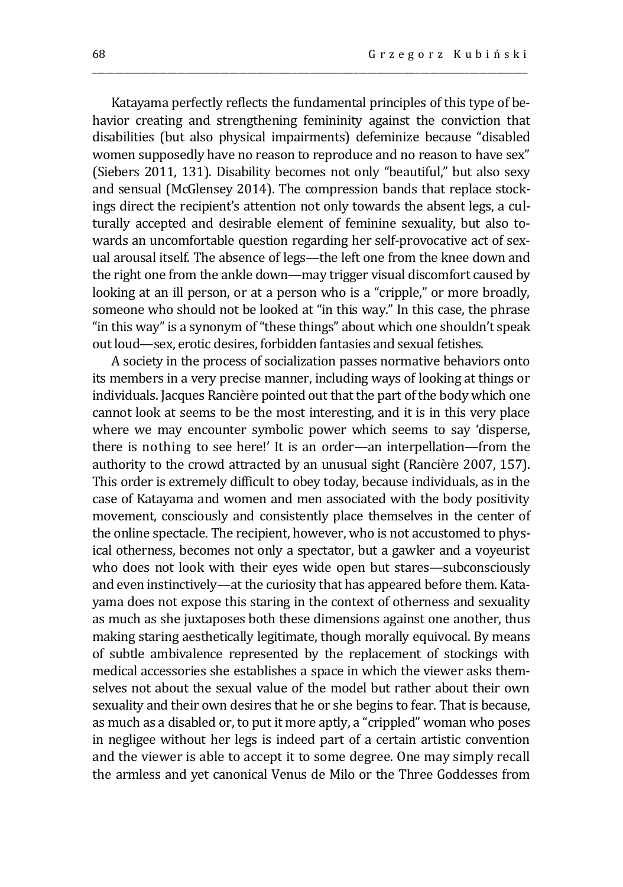Katayama perfectly reflects the fundamental principles of this type of behavior creating and strengthening femininity against the conviction that disabilities (but also physical impairments) defeminize because "disabled women supposedly have no reason to reproduce and no reason to have sex" (Siebers 2011, 131). Disability becomes not only "beautiful," but also sexy and sensual (McGlensey 2014). The compression bands that replace stockings direct the recipient's attention not only towards the absent legs, a culturally accepted and desirable element of feminine sexuality, but also towards an uncomfortable question regarding her self-provocative act of sexual arousal itself. The absence of legs—the left one from the knee down and the right one from the ankle down—may trigger visual discomfort caused by looking at an ill person, or at a person who is a "cripple," or more broadly, someone who should not be looked at "in this way." In this case, the phrase "in this way" is a synonym of "these things" about which one shouldn't speak out loud—sex, erotic desires, forbidden fantasies and sexual fetishes.

\_\_\_\_\_\_\_\_\_\_\_\_\_\_\_\_\_\_\_\_\_\_\_\_\_\_\_\_\_\_\_\_\_\_\_\_\_\_\_\_\_\_\_\_\_\_\_\_\_\_\_\_\_\_\_\_\_\_\_\_\_\_\_\_\_\_\_\_\_\_\_\_\_\_\_\_\_\_\_\_\_\_\_\_\_\_\_\_\_\_\_\_\_\_\_\_\_\_

A society in the process of socialization passes normative behaviors onto its members in a very precise manner, including ways of looking at things or individuals. Jacques Rancière pointed out that the part of the body which one cannot look at seems to be the most interesting, and it is in this very place where we may encounter symbolic power which seems to say 'disperse, there is nothing to see here!' It is an order—an interpellation—from the authority to the crowd attracted by an unusual sight (Rancière 2007, 157). This order is extremely difficult to obey today, because individuals, as in the case of Katayama and women and men associated with the body positivity movement, consciously and consistently place themselves in the center of the online spectacle. The recipient, however, who is not accustomed to physical otherness, becomes not only a spectator, but a gawker and a voyeurist who does not look with their eyes wide open but stares—subconsciously and even instinctively—at the curiosity that has appeared before them. Katayama does not expose this staring in the context of otherness and sexuality as much as she juxtaposes both these dimensions against one another, thus making staring aesthetically legitimate, though morally equivocal. By means of subtle ambivalence represented by the replacement of stockings with medical accessories she establishes a space in which the viewer asks themselves not about the sexual value of the model but rather about their own sexuality and their own desires that he or she begins to fear. That is because, as much as a disabled or, to put it more aptly, a "crippled" woman who poses in negligee without her legs is indeed part of a certain artistic convention and the viewer is able to accept it to some degree. One may simply recall the armless and yet canonical Venus de Milo or the Three Goddesses from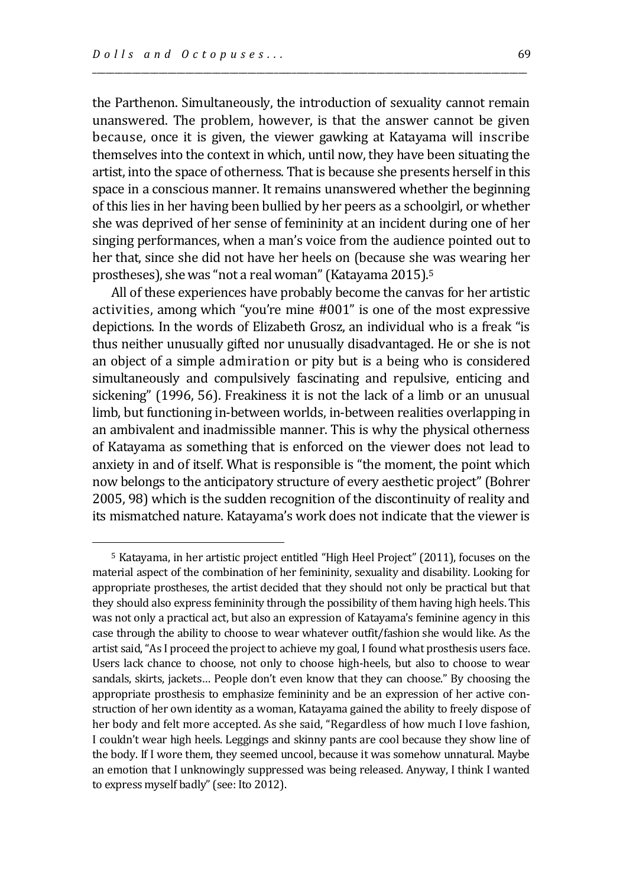$\overline{a}$ 

the Parthenon. Simultaneously, the introduction of sexuality cannot remain unanswered. The problem, however, is that the answer cannot be given because, once it is given, the viewer gawking at Katayama will inscribe themselves into the context in which, until now, they have been situating the artist, into the space of otherness. That is because she presents herself in this space in a conscious manner. It remains unanswered whether the beginning of this lies in her having been bullied by her peers as a schoolgirl, or whether she was deprived of her sense of femininity at an incident during one of her singing performances, when a man's voice from the audience pointed out to her that, since she did not have her heels on (because she was wearing her prostheses), she was "not a real woman" (Katayama 2015).<sup>5</sup>

\_\_\_\_\_\_\_\_\_\_\_\_\_\_\_\_\_\_\_\_\_\_\_\_\_\_\_\_\_\_\_\_\_\_\_\_\_\_\_\_\_\_\_\_\_\_\_\_\_\_\_\_\_\_\_\_\_\_\_\_\_\_\_\_\_\_\_\_\_\_\_\_\_\_\_\_\_\_\_\_\_\_\_\_\_\_\_\_\_\_\_\_\_\_\_\_\_\_

All of these experiences have probably become the canvas for her artistic activities, among which "you're mine #001" is one of the most expressive depictions. In the words of Elizabeth Grosz, an individual who is a freak "is thus neither unusually gifted nor unusually disadvantaged. He or she is not an object of a simple admiration or pity but is a being who is considered simultaneously and compulsively fascinating and repulsive, enticing and sickening" (1996, 56). Freakiness it is not the lack of a limb or an unusual limb, but functioning in-between worlds, in-between realities overlapping in an ambivalent and inadmissible manner. This is why the physical otherness of Katayama as something that is enforced on the viewer does not lead to anxiety in and of itself. What is responsible is "the moment, the point which now belongs to the anticipatory structure of every aesthetic project" (Bohrer 2005, 98) which is the sudden recognition of the discontinuity of reality and its mismatched nature. Katayama's work does not indicate that the viewer is

<sup>5</sup> Katayama, in her artistic project entitled "High Heel Project" (2011), focuses on the material aspect of the combination of her femininity, sexuality and disability. Looking for appropriate prostheses, the artist decided that they should not only be practical but that they should also express femininity through the possibility of them having high heels. This was not only a practical act, but also an expression of Katayama's feminine agency in this case through the ability to choose to wear whatever outfit/fashion she would like. As the artist said, "As I proceed the project to achieve my goal, I found what prosthesis users face. Users lack chance to choose, not only to choose high-heels, but also to choose to wear sandals, skirts, jackets… People don't even know that they can choose." By choosing the appropriate prosthesis to emphasize femininity and be an expression of her active construction of her own identity as a woman, Katayama gained the ability to freely dispose of her body and felt more accepted. As she said, "Regardless of how much I love fashion, I couldn't wear high heels. Leggings and skinny pants are cool because they show line of the body. If I wore them, they seemed uncool, because it was somehow unnatural. Maybe an emotion that I unknowingly suppressed was being released. Anyway, I think I wanted to express myself badly" (see: Ito 2012).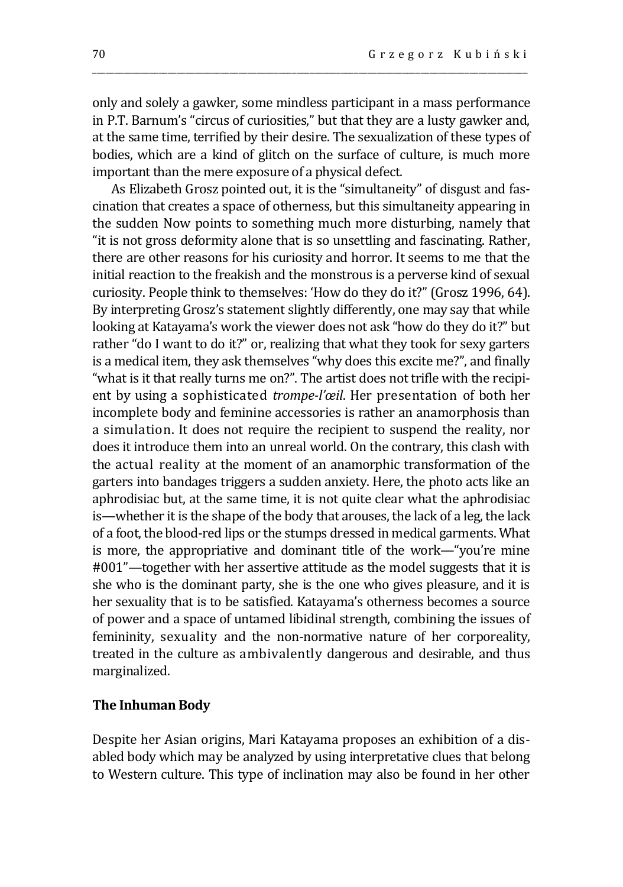only and solely a gawker, some mindless participant in a mass performance in P.T. Barnum's "circus of curiosities," but that they are a lusty gawker and, at the same time, terrified by their desire. The sexualization of these types of bodies, which are a kind of glitch on the surface of culture, is much more important than the mere exposure of a physical defect.

\_\_\_\_\_\_\_\_\_\_\_\_\_\_\_\_\_\_\_\_\_\_\_\_\_\_\_\_\_\_\_\_\_\_\_\_\_\_\_\_\_\_\_\_\_\_\_\_\_\_\_\_\_\_\_\_\_\_\_\_\_\_\_\_\_\_\_\_\_\_\_\_\_\_\_\_\_\_\_\_\_\_\_\_\_\_\_\_\_\_\_\_\_\_\_\_\_\_

As Elizabeth Grosz pointed out, it is the "simultaneity" of disgust and fascination that creates a space of otherness, but this simultaneity appearing in the sudden Now points to something much more disturbing, namely that "it is not gross deformity alone that is so unsettling and fascinating. Rather, there are other reasons for his curiosity and horror. It seems to me that the initial reaction to the freakish and the monstrous is a perverse kind of sexual curiosity. People think to themselves: 'How do they do it?" (Grosz 1996, 64). By interpreting Grosz's statement slightly differently, one may say that while looking at Katayama's work the viewer does not ask "how do they do it?" but rather "do I want to do it?" or, realizing that what they took for sexy garters is a medical item, they ask themselves "why does this excite me?", and finally "what is it that really turns me on?". The artist does not trifle with the recipient by using a sophisticated *trompe-l'œil*. Her presentation of both her incomplete body and feminine accessories is rather an anamorphosis than a simulation. It does not require the recipient to suspend the reality, nor does it introduce them into an unreal world. On the contrary, this clash with the actual reality at the moment of an anamorphic transformation of the garters into bandages triggers a sudden anxiety. Here, the photo acts like an aphrodisiac but, at the same time, it is not quite clear what the aphrodisiac is—whether it is the shape of the body that arouses, the lack of a leg, the lack of a foot, the blood-red lips or the stumps dressed in medical garments. What is more, the appropriative and dominant title of the work—"you're mine #001"—together with her assertive attitude as the model suggests that it is she who is the dominant party, she is the one who gives pleasure, and it is her sexuality that is to be satisfied. Katayama's otherness becomes a source of power and a space of untamed libidinal strength, combining the issues of femininity, sexuality and the non-normative nature of her corporeality, treated in the culture as ambivalently dangerous and desirable, and thus marginalized.

### **The Inhuman Body**

Despite her Asian origins, Mari Katayama proposes an exhibition of a disabled body which may be analyzed by using interpretative clues that belong to Western culture. This type of inclination may also be found in her other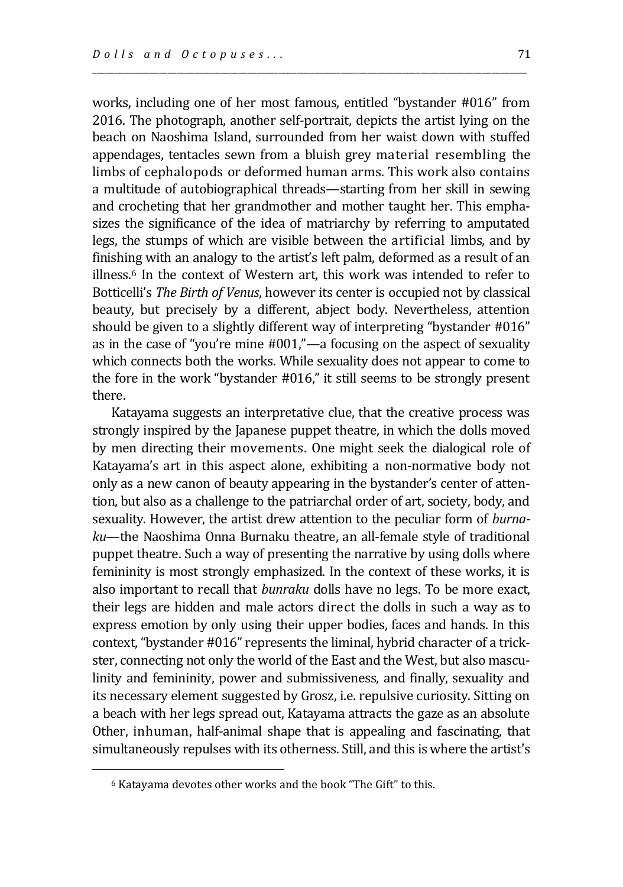works, including one of her most famous, entitled "bystander #016" from 2016. The photograph, another self-portrait, depicts the artist lying on the beach on Naoshima Island, surrounded from her waist down with stuffed appendages, tentacles sewn from a bluish grey material resembling the limbs of cephalopods or deformed human arms. This work also contains a multitude of autobiographical threads—starting from her skill in sewing and crocheting that her grandmother and mother taught her. This emphasizes the significance of the idea of matriarchy by referring to amputated legs, the stumps of which are visible between the artificial limbs, and by finishing with an analogy to the artist's left palm, deformed as a result of an illness.<sup>6</sup> In the context of Western art, this work was intended to refer to Botticelli's *The Birth of Venus*, however its center is occupied not by classical beauty, but precisely by a different, abject body. Nevertheless, attention should be given to a slightly different way of interpreting "bystander #016" as in the case of "you're mine #001,"—a focusing on the aspect of sexuality which connects both the works. While sexuality does not appear to come to the fore in the work "bystander #016," it still seems to be strongly present there.

\_\_\_\_\_\_\_\_\_\_\_\_\_\_\_\_\_\_\_\_\_\_\_\_\_\_\_\_\_\_\_\_\_\_\_\_\_\_\_\_\_\_\_\_\_\_\_\_\_\_\_\_\_\_\_\_\_\_\_\_\_\_\_\_\_\_\_\_\_\_\_\_\_\_\_\_\_\_\_\_\_\_\_\_\_\_\_\_\_\_\_\_\_\_\_\_\_\_

Katayama suggests an interpretative clue, that the creative process was strongly inspired by the Japanese puppet theatre, in which the dolls moved by men directing their movements. One might seek the dialogical role of Katayama's art in this aspect alone, exhibiting a non-normative body not only as a new canon of beauty appearing in the bystander's center of attention, but also as a challenge to the patriarchal order of art, society, body, and sexuality. However, the artist drew attention to the peculiar form of *burnaku*—the Naoshima Onna Burnaku theatre, an all-female style of traditional puppet theatre. Such a way of presenting the narrative by using dolls where femininity is most strongly emphasized. In the context of these works, it is also important to recall that *bunraku* dolls have no legs. To be more exact, their legs are hidden and male actors direct the dolls in such a way as to express emotion by only using their upper bodies, faces and hands. In this context, "bystander #016" represents the liminal, hybrid character of a trickster, connecting not only the world of the East and the West, but also masculinity and femininity, power and submissiveness, and finally, sexuality and its necessary element suggested by Grosz, i.e. repulsive curiosity. Sitting on a beach with her legs spread out, Katayama attracts the gaze as an absolute Other, inhuman, half-animal shape that is appealing and fascinating, that simultaneously repulses with its otherness. Still, and this is where the artist's

<sup>6</sup> Katayama devotes other works and the book "The Gift" to this.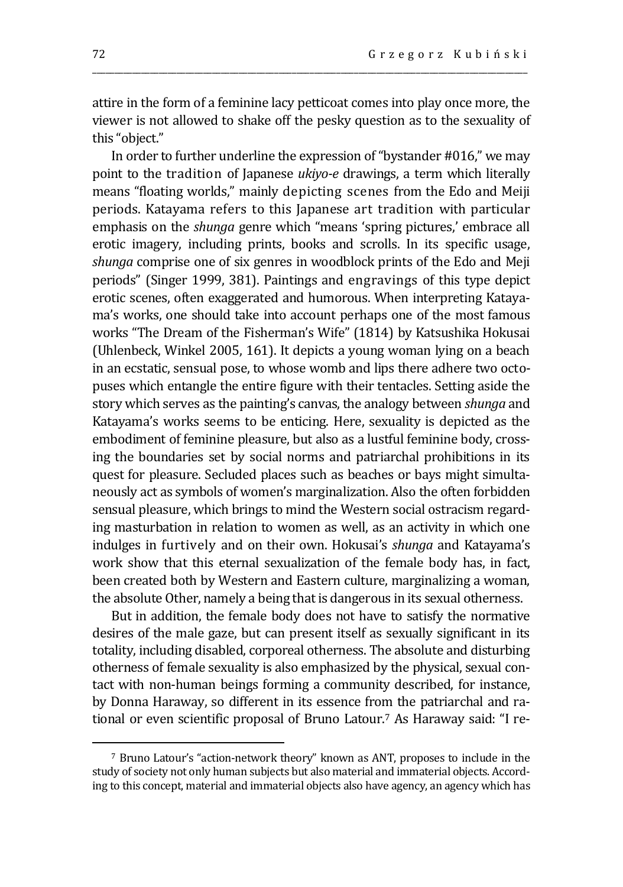attire in the form of a feminine lacy petticoat comes into play once more, the viewer is not allowed to shake off the pesky question as to the sexuality of this "object."

\_\_\_\_\_\_\_\_\_\_\_\_\_\_\_\_\_\_\_\_\_\_\_\_\_\_\_\_\_\_\_\_\_\_\_\_\_\_\_\_\_\_\_\_\_\_\_\_\_\_\_\_\_\_\_\_\_\_\_\_\_\_\_\_\_\_\_\_\_\_\_\_\_\_\_\_\_\_\_\_\_\_\_\_\_\_\_\_\_\_\_\_\_\_\_\_\_\_

In order to further underline the expression of "bystander #016," we may point to the tradition of Japanese *ukiyo-e* drawings, a term which literally means "floating worlds," mainly depicting scenes from the Edo and Meiji periods. Katayama refers to this Japanese art tradition with particular emphasis on the *shunga* genre which "means 'spring pictures,' embrace all erotic imagery, including prints, books and scrolls. In its specific usage, *shunga* comprise one of six genres in woodblock prints of the Edo and Meji periods" (Singer 1999, 381). Paintings and engravings of this type depict erotic scenes, often exaggerated and humorous. When interpreting Katayama's works, one should take into account perhaps one of the most famous works "The Dream of the Fisherman's Wife" (1814) by Katsushika Hokusai (Uhlenbeck, Winkel 2005, 161). It depicts a young woman lying on a beach in an ecstatic, sensual pose, to whose womb and lips there adhere two octopuses which entangle the entire figure with their tentacles. Setting aside the story which serves as the painting's canvas, the analogy between *shunga* and Katayama's works seems to be enticing. Here, sexuality is depicted as the embodiment of feminine pleasure, but also as a lustful feminine body, crossing the boundaries set by social norms and patriarchal prohibitions in its quest for pleasure. Secluded places such as beaches or bays might simultaneously act as symbols of women's marginalization. Also the often forbidden sensual pleasure, which brings to mind the Western social ostracism regarding masturbation in relation to women as well, as an activity in which one indulges in furtively and on their own. Hokusai's *shunga* and Katayama's work show that this eternal sexualization of the female body has, in fact, been created both by Western and Eastern culture, marginalizing a woman, the absolute Other, namely a being that is dangerous in its sexual otherness.

But in addition, the female body does not have to satisfy the normative desires of the male gaze, but can present itself as sexually significant in its totality, including disabled, corporeal otherness. The absolute and disturbing otherness of female sexuality is also emphasized by the physical, sexual contact with non-human beings forming a community described, for instance, by Donna Haraway, so different in its essence from the patriarchal and rational or even scientific proposal of Bruno Latour.<sup>7</sup> As Haraway said: "I re-

<sup>7</sup> Bruno Latour's "action-network theory" known as ANT, proposes to include in the study of society not only human subjects but also material and immaterial objects. According to this concept, material and immaterial objects also have agency, an agency which has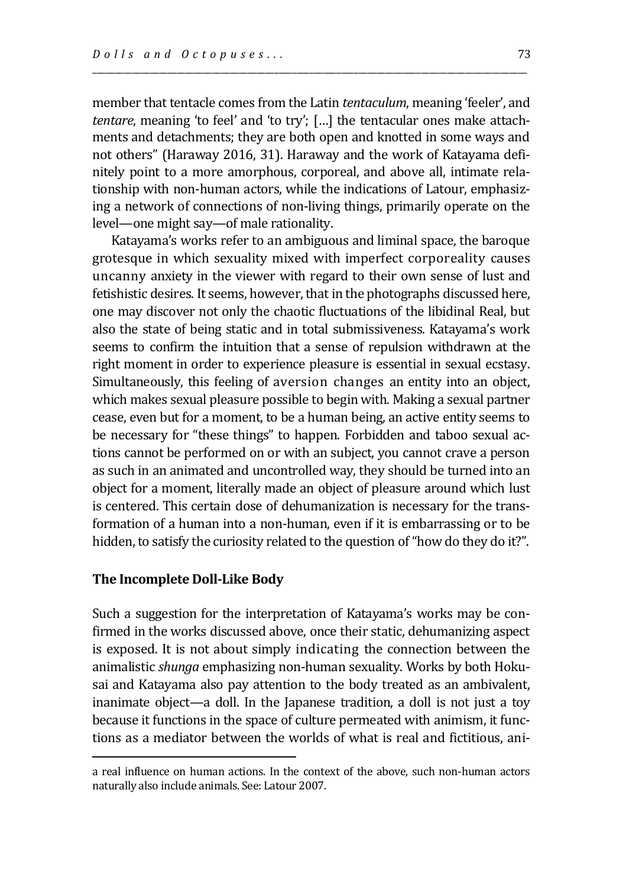member that tentacle comes from the Latin *tentaculum*, meaning 'feeler', and *tentare*, meaning 'to feel' and 'to try'; […] the tentacular ones make attachments and detachments; they are both open and knotted in some ways and not others" (Haraway 2016, 31). Haraway and the work of Katayama definitely point to a more amorphous, corporeal, and above all, intimate relationship with non-human actors, while the indications of Latour, emphasizing a network of connections of non-living things, primarily operate on the level—one might say—of male rationality.

\_\_\_\_\_\_\_\_\_\_\_\_\_\_\_\_\_\_\_\_\_\_\_\_\_\_\_\_\_\_\_\_\_\_\_\_\_\_\_\_\_\_\_\_\_\_\_\_\_\_\_\_\_\_\_\_\_\_\_\_\_\_\_\_\_\_\_\_\_\_\_\_\_\_\_\_\_\_\_\_\_\_\_\_\_\_\_\_\_\_\_\_\_\_\_\_\_\_

Katayama's works refer to an ambiguous and liminal space, the baroque grotesque in which sexuality mixed with imperfect corporeality causes uncanny anxiety in the viewer with regard to their own sense of lust and fetishistic desires. It seems, however, that in the photographs discussed here, one may discover not only the chaotic fluctuations of the libidinal Real, but also the state of being static and in total submissiveness. Katayama's work seems to confirm the intuition that a sense of repulsion withdrawn at the right moment in order to experience pleasure is essential in sexual ecstasy. Simultaneously, this feeling of aversion changes an entity into an object, which makes sexual pleasure possible to begin with. Making a sexual partner cease, even but for a moment, to be a human being, an active entity seems to be necessary for "these things" to happen. Forbidden and taboo sexual actions cannot be performed on or with an subject, you cannot crave a person as such in an animated and uncontrolled way, they should be turned into an object for a moment, literally made an object of pleasure around which lust is centered. This certain dose of dehumanization is necessary for the transformation of a human into a non-human, even if it is embarrassing or to be hidden, to satisfy the curiosity related to the question of "how do they do it?".

## **The Incomplete Doll-Like Body**

 $\overline{a}$ 

Such a suggestion for the interpretation of Katayama's works may be confirmed in the works discussed above, once their static, dehumanizing aspect is exposed. It is not about simply indicating the connection between the animalistic *shunga* emphasizing non-human sexuality. Works by both Hokusai and Katayama also pay attention to the body treated as an ambivalent, inanimate object—a doll. In the Japanese tradition, a doll is not just a toy because it functions in the space of culture permeated with animism, it functions as a mediator between the worlds of what is real and fictitious, ani-

a real influence on human actions. In the context of the above, such non-human actors naturally also include animals. See: Latour 2007.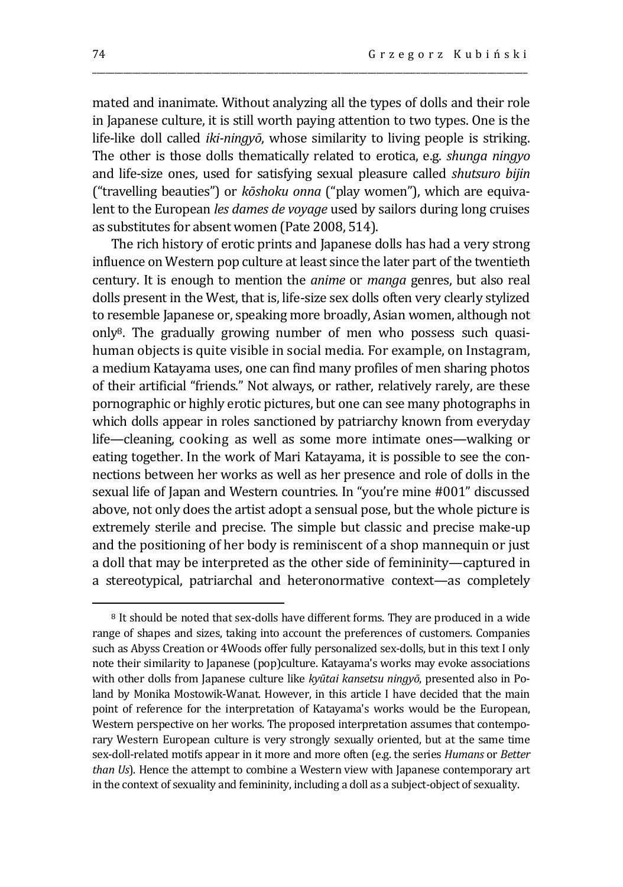mated and inanimate. Without analyzing all the types of dolls and their role in Japanese culture, it is still worth paying attention to two types. One is the life-like doll called *iki-ningyō*, whose similarity to living people is striking. The other is those dolls thematically related to erotica, e.g. *shunga ningyo* and life-size ones, used for satisfying sexual pleasure called *shutsuro bijin* ("travelling beauties") or *kōshoku onna* ("play women"), which are equivalent to the European *les dames de voyage* used by sailors during long cruises as substitutes for absent women (Pate 2008, 514).

\_\_\_\_\_\_\_\_\_\_\_\_\_\_\_\_\_\_\_\_\_\_\_\_\_\_\_\_\_\_\_\_\_\_\_\_\_\_\_\_\_\_\_\_\_\_\_\_\_\_\_\_\_\_\_\_\_\_\_\_\_\_\_\_\_\_\_\_\_\_\_\_\_\_\_\_\_\_\_\_\_\_\_\_\_\_\_\_\_\_\_\_\_\_\_\_\_\_

The rich history of erotic prints and Japanese dolls has had a very strong influence on Western pop culture at least since the later part of the twentieth century. It is enough to mention the *anime* or *manga* genres, but also real dolls present in the West, that is, life-size sex dolls often very clearly stylized to resemble Japanese or, speaking more broadly, Asian women, although not only8. The gradually growing number of men who possess such quasihuman objects is quite visible in social media. For example, on Instagram, a medium Katayama uses, one can find many profiles of men sharing photos of their artificial "friends." Not always, or rather, relatively rarely, are these pornographic or highly erotic pictures, but one can see many photographs in which dolls appear in roles sanctioned by patriarchy known from everyday life—cleaning, cooking as well as some more intimate ones—walking or eating together. In the work of Mari Katayama, it is possible to see the connections between her works as well as her presence and role of dolls in the sexual life of Japan and Western countries. In "you're mine #001" discussed above, not only does the artist adopt a sensual pose, but the whole picture is extremely sterile and precise. The simple but classic and precise make-up and the positioning of her body is reminiscent of a shop mannequin or just a doll that may be interpreted as the other side of femininity—captured in a stereotypical, patriarchal and heteronormative context—as completely

<sup>8</sup> It should be noted that sex-dolls have different forms. They are produced in a wide range of shapes and sizes, taking into account the preferences of customers. Companies such as Abyss Creation or 4Woods offer fully personalized sex-dolls, but in this text I only note their similarity to Japanese (pop)culture. Katayama's works may evoke associations with other dolls from Japanese culture like *kyūtai kansetsu ningyō*, presented also in Poland by Monika Mostowik-Wanat. However, in this article I have decided that the main point of reference for the interpretation of Katayama's works would be the European, Western perspective on her works. The proposed interpretation assumes that contemporary Western European culture is very strongly sexually oriented, but at the same time sex-doll-related motifs appear in it more and more often (e.g. the series *Humans* or *Better than Us*). Hence the attempt to combine a Western view with Japanese contemporary art in the context of sexuality and femininity, including a doll as a subject-object of sexuality.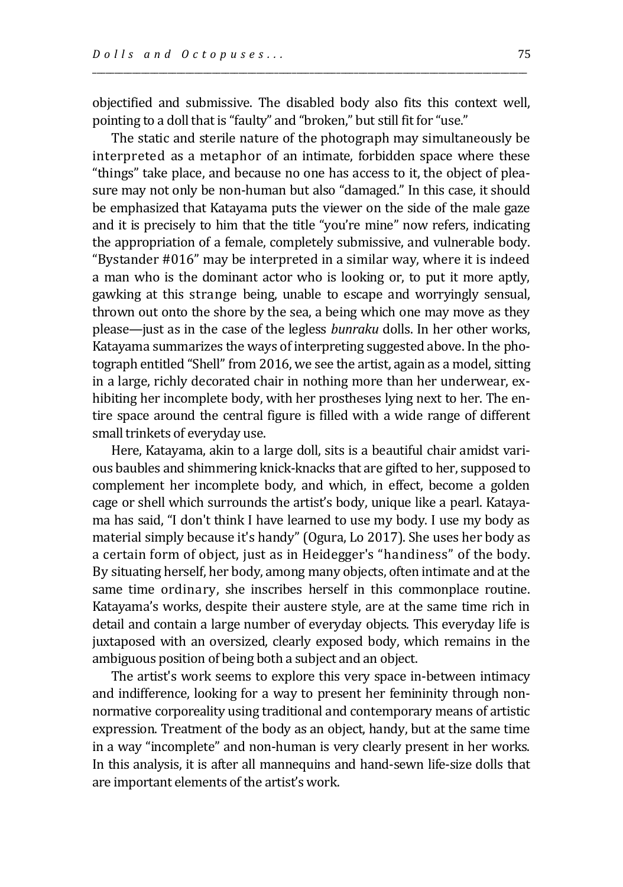objectified and submissive. The disabled body also fits this context well, pointing to a doll that is "faulty" and "broken," but still fit for "use."

\_\_\_\_\_\_\_\_\_\_\_\_\_\_\_\_\_\_\_\_\_\_\_\_\_\_\_\_\_\_\_\_\_\_\_\_\_\_\_\_\_\_\_\_\_\_\_\_\_\_\_\_\_\_\_\_\_\_\_\_\_\_\_\_\_\_\_\_\_\_\_\_\_\_\_\_\_\_\_\_\_\_\_\_\_\_\_\_\_\_\_\_\_\_\_\_\_\_

The static and sterile nature of the photograph may simultaneously be interpreted as a metaphor of an intimate, forbidden space where these "things" take place, and because no one has access to it, the object of pleasure may not only be non-human but also "damaged." In this case, it should be emphasized that Katayama puts the viewer on the side of the male gaze and it is precisely to him that the title "you're mine" now refers, indicating the appropriation of a female, completely submissive, and vulnerable body. "Bystander #016" may be interpreted in a similar way, where it is indeed a man who is the dominant actor who is looking or, to put it more aptly, gawking at this strange being, unable to escape and worryingly sensual, thrown out onto the shore by the sea, a being which one may move as they please—just as in the case of the legless *bunraku* dolls. In her other works, Katayama summarizes the ways of interpreting suggested above. In the photograph entitled "Shell" from 2016, we see the artist, again as a model, sitting in a large, richly decorated chair in nothing more than her underwear, exhibiting her incomplete body, with her prostheses lying next to her. The entire space around the central figure is filled with a wide range of different small trinkets of everyday use.

Here, Katayama, akin to a large doll, sits is a beautiful chair amidst various baubles and shimmering knick-knacks that are gifted to her, supposed to complement her incomplete body, and which, in effect, become a golden cage or shell which surrounds the artist's body, unique like a pearl. Katayama has said, "I don't think I have learned to use my body. I use my body as material simply because it's handy" (Ogura, Lo 2017). She uses her body as a certain form of object, just as in Heidegger's "handiness" of the body. By situating herself, her body, among many objects, often intimate and at the same time ordinary, she inscribes herself in this commonplace routine. Katayama's works, despite their austere style, are at the same time rich in detail and contain a large number of everyday objects. This everyday life is juxtaposed with an oversized, clearly exposed body, which remains in the ambiguous position of being both a subject and an object.

The artist's work seems to explore this very space in-between intimacy and indifference, looking for a way to present her femininity through nonnormative corporeality using traditional and contemporary means of artistic expression. Treatment of the body as an object, handy, but at the same time in a way "incomplete" and non-human is very clearly present in her works. In this analysis, it is after all mannequins and hand-sewn life-size dolls that are important elements of the artist's work.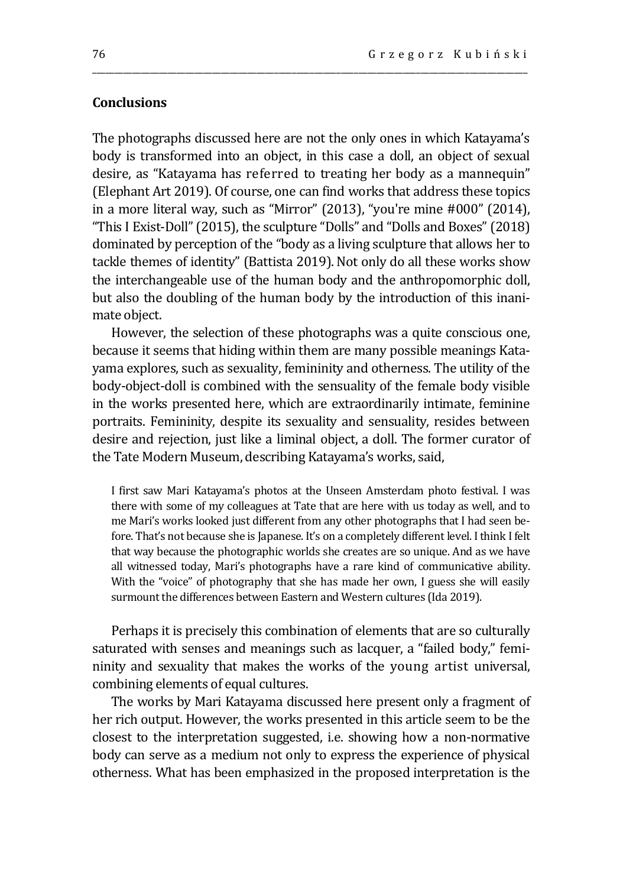# **Conclusions**

The photographs discussed here are not the only ones in which Katayama's body is transformed into an object, in this case a doll, an object of sexual desire, as "Katayama has referred to treating her body as a mannequin" (Elephant Art 2019). Of course, one can find works that address these topics in a more literal way, such as "Mirror" (2013), "you're mine #000" (2014), "This I Exist-Doll" (2015), the sculpture "Dolls" and "Dolls and Boxes" (2018) dominated by perception of the "body as a living sculpture that allows her to tackle themes of identity" (Battista 2019). Not only do all these works show the interchangeable use of the human body and the anthropomorphic doll, but also the doubling of the human body by the introduction of this inanimate object.

\_\_\_\_\_\_\_\_\_\_\_\_\_\_\_\_\_\_\_\_\_\_\_\_\_\_\_\_\_\_\_\_\_\_\_\_\_\_\_\_\_\_\_\_\_\_\_\_\_\_\_\_\_\_\_\_\_\_\_\_\_\_\_\_\_\_\_\_\_\_\_\_\_\_\_\_\_\_\_\_\_\_\_\_\_\_\_\_\_\_\_\_\_\_\_\_\_\_

However, the selection of these photographs was a quite conscious one, because it seems that hiding within them are many possible meanings Katayama explores, such as sexuality, femininity and otherness. The utility of the body-object-doll is combined with the sensuality of the female body visible in the works presented here, which are extraordinarily intimate, feminine portraits. Femininity, despite its sexuality and sensuality, resides between desire and rejection, just like a liminal object, a doll. The former curator of the Tate Modern Museum, describing Katayama's works, said,

I first saw Mari Katayama's photos at the Unseen Amsterdam photo festival. I was there with some of my colleagues at Tate that are here with us today as well, and to me Mari's works looked just different from any other photographs that I had seen before. That's not because she is Japanese. It's on a completely different level. I think I felt that way because the photographic worlds she creates are so unique. And as we have all witnessed today, Mari's photographs have a rare kind of communicative ability. With the "voice" of photography that she has made her own, I guess she will easily surmount the differences between Eastern and Western cultures (Ida 2019).

Perhaps it is precisely this combination of elements that are so culturally saturated with senses and meanings such as lacquer, a "failed body," femininity and sexuality that makes the works of the young artist universal, combining elements of equal cultures.

The works by Mari Katayama discussed here present only a fragment of her rich output. However, the works presented in this article seem to be the closest to the interpretation suggested, i.e. showing how a non-normative body can serve as a medium not only to express the experience of physical otherness. What has been emphasized in the proposed interpretation is the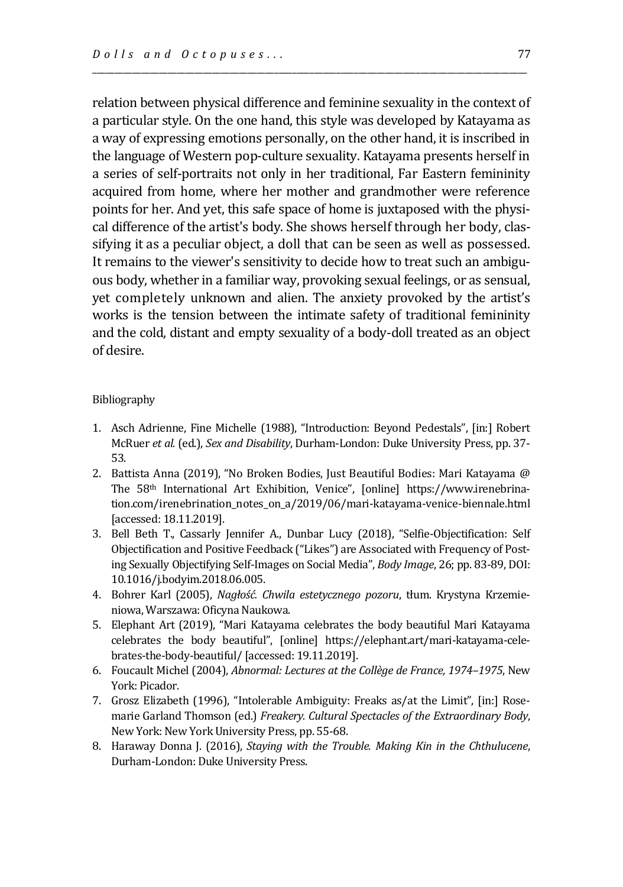relation between physical difference and feminine sexuality in the context of a particular style. On the one hand, this style was developed by Katayama as a way of expressing emotions personally, on the other hand, it is inscribed in the language of Western pop-culture sexuality. Katayama presents herself in a series of self-portraits not only in her traditional, Far Eastern femininity acquired from home, where her mother and grandmother were reference points for her. And yet, this safe space of home is juxtaposed with the physical difference of the artist's body. She shows herself through her body, classifying it as a peculiar object, a doll that can be seen as well as possessed. It remains to the viewer's sensitivity to decide how to treat such an ambiguous body, whether in a familiar way, provoking sexual feelings, or as sensual, yet completely unknown and alien. The anxiety provoked by the artist's works is the tension between the intimate safety of traditional femininity and the cold, distant and empty sexuality of a body-doll treated as an object of desire.

\_\_\_\_\_\_\_\_\_\_\_\_\_\_\_\_\_\_\_\_\_\_\_\_\_\_\_\_\_\_\_\_\_\_\_\_\_\_\_\_\_\_\_\_\_\_\_\_\_\_\_\_\_\_\_\_\_\_\_\_\_\_\_\_\_\_\_\_\_\_\_\_\_\_\_\_\_\_\_\_\_\_\_\_\_\_\_\_\_\_\_\_\_\_\_\_\_\_

#### Bibliography

- 1. Asch Adrienne, Fine Michelle (1988), "Introduction: Beyond Pedestals", [in:] Robert McRuer *et al.* (ed.), *Sex and Disability*, Durham-London: Duke University Press, pp. 37- 53.
- 2. Battista Anna (2019), "No Broken Bodies, Just Beautiful Bodies: Mari Katayama @ The 58th International Art Exhibition, Venice", [online] https://www.irenebrination.com/irenebrination\_notes\_on\_a/2019/06/mari-katayama-venice-biennale.html [accessed: 18.11.2019].
- 3. Bell Beth T., Cassarly Jennifer A., Dunbar Lucy (2018), "Selfie-Objectification: Self Objectification and Positive Feedback ("Likes") are Associated with Frequency of Posting Sexually Objectifying Self-Images on Social Media", *Body Image*, 26; pp. 83-89, DOI: 10.1016/j.bodyim.2018.06.005.
- 4. Bohrer Karl (2005), *Nagłość. Chwila estetycznego pozoru*, tłum. Krystyna Krzemieniowa, Warszawa: Oficyna Naukowa.
- 5. Elephant Art (2019), "Mari Katayama celebrates the body beautiful Mari Katayama celebrates the body beautiful", [online] https://elephant.art/mari-katayama-celebrates-the-body-beautiful/ [accessed: 19.11.2019].
- 6. Foucault Michel (2004), *Abnormal: Lectures at the Collège de France, 1974–1975*, New York: Picador.
- 7. Grosz Elizabeth (1996), "Intolerable Ambiguity: Freaks as/at the Limit", [in:] Rosemarie Garland Thomson (ed.) *Freakery. Cultural Spectacles of the Extraordinary Body*, New York: New York University Press, pp. 55-68.
- 8. Haraway Donna J. (2016), *Staying with the Trouble. Making Kin in the Chthulucene*, Durham-London: Duke University Press.